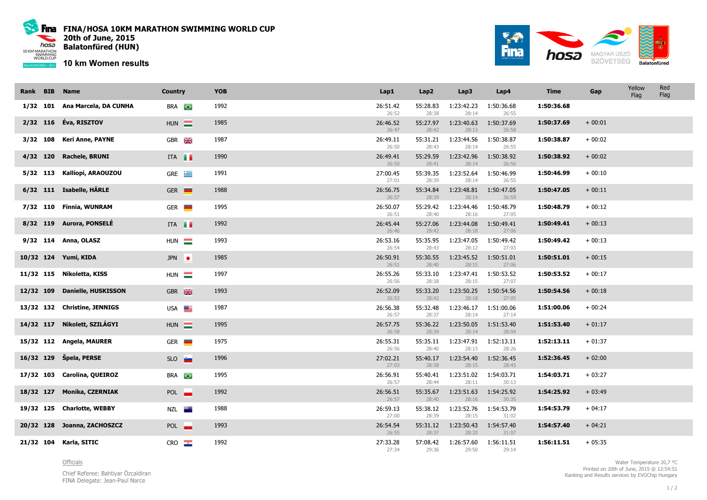

Fina FINA/HOSA 10KM MARATHON SWIMMING WORLD CUP 20th of June, 2015 Balatonfüred (HUN)

10 km Women results



| Rank BIB | <b>Name</b>                    | <b>Country</b>       | <b>YOB</b> | Lap1              | Lap2              | Lap3                | Lap4                | <b>Time</b> | Gap      | Yellow<br>Flag | Red<br>Flag |
|----------|--------------------------------|----------------------|------------|-------------------|-------------------|---------------------|---------------------|-------------|----------|----------------|-------------|
|          | 1/32 101 Ana Marcela, DA CUNHA | <b>BRA</b>           | 1992       | 26:51.42<br>26:52 | 55:28.83<br>28:38 | 1:23:42.23<br>28:14 | 1:50:36.68<br>26:55 | 1:50:36.68  |          |                |             |
|          | 2/32 116 Éva, RISZTOV          | $HUN$ $\blacksquare$ | 1985       | 26:46.52<br>26:47 | 55:27.97<br>28:42 | 1:23:40.63<br>28:13 | 1:50:37.69<br>26:58 | 1:50:37.69  | $+00:01$ |                |             |
|          | 3/32 108 Keri Anne, PAYNE      | GBR <b>X</b>         | 1987       | 26:49.11<br>26:50 | 55:31.21<br>28:43 | 1:23:44.56<br>28:14 | 1:50:38.87<br>26:55 | 1:50:38.87  | $+00:02$ |                |             |
|          | 4/32 120 Rachele, BRUNI        | ITA <b>I</b>         | 1990       | 26:49.41<br>26:50 | 55:29.59<br>28:41 | 1:23:42.96<br>28:14 | 1:50:38.92<br>26:56 | 1:50:38.92  | $+00:02$ |                |             |
|          | 5/32 113 Kalliopi, ARAOUZOU    | $GRE \quad \equiv$   | 1991       | 27:00.45<br>27:01 | 55:39.35<br>28:39 | 1:23:52.64<br>28:14 | 1:50:46.99<br>26:55 | 1:50:46.99  | $+00:10$ |                |             |
|          | 6/32 111 Isabelle, HÄRLE       | $GER$ $\blacksquare$ | 1988       | 26:56.75<br>26:57 | 55:34.84<br>28:39 | 1:23:48.81<br>28:14 | 1:50:47.05<br>26:59 | 1:50:47.05  | $+00:11$ |                |             |
|          | 7/32 110 Finnia, WUNRAM        | $GER$ $\blacksquare$ | 1995       | 26:50.07<br>26:51 | 55:29.42<br>28:40 | 1:23:44.46<br>28:16 | 1:50:48.79<br>27:05 | 1:50:48.79  | $+00:12$ |                |             |
|          | 8/32 119 Aurora, PONSELÉ       | ITA                  | 1992       | 26:45.44<br>26:46 | 55:27.06<br>28:42 | 1:23:44.08<br>28:18 | 1:50:49.41<br>27:06 | 1:50:49.41  | $+00:13$ |                |             |
|          | 9/32 114 Anna, OLASZ           | HUN <b>E</b>         | 1993       | 26:53.16<br>26:54 | 55:35.95<br>28:43 | 1:23:47.05<br>28:12 | 1:50:49.42<br>27:03 | 1:50:49.42  | $+00:13$ |                |             |
|          | 10/32 124 Yumi, KIDA           | JPN $\bullet$        | 1985       | 26:50.91<br>26:51 | 55:30.55<br>28:40 | 1:23:45.52<br>28:15 | 1:50:51.01<br>27:06 | 1:50:51.01  | $+00:15$ |                |             |
|          | 11/32 115 Nikoletta, KISS      | HUN $\equiv$         | 1997       | 26:55.26<br>26:56 | 55:33.10<br>28:38 | 1:23:47.41<br>28:15 | 1:50:53.52<br>27:07 | 1:50:53.52  | $+00:17$ |                |             |
|          | 12/32 109 Danielle, HUSKISSON  | GBR <b>AK</b>        | 1993       | 26:52.09<br>26:53 | 55:33.20<br>28:42 | 1:23:50.25<br>28:18 | 1:50:54.56<br>27:05 | 1:50:54.56  | $+00:18$ |                |             |
|          | 13/32 132 Christine, JENNIGS   | USA <b>EXAMPLE</b>   | 1987       | 26:56.38<br>26:57 | 55:32.48<br>28:37 | 1:23:46.17<br>28:14 | 1:51:00.06<br>27:14 | 1:51:00.06  | $+00:24$ |                |             |
|          | 14/32 117 Nikolett, SZILÁGYI   | HUN $\equiv$         | 1995       | 26:57.75<br>26:58 | 55:36.22<br>28:39 | 1:23:50.05<br>28:14 | 1:51:53.40<br>28:04 | 1:51:53.40  | $+01:17$ |                |             |
|          | 15/32 112 Angela, MAURER       | $GER =$              | 1975       | 26:55.31<br>26:56 | 55:35.11<br>28:40 | 1:23:47.91<br>28:13 | 1:52:13.11<br>28:26 | 1:52:13.11  | $+01:37$ |                |             |
|          | 16/32 129 Špela, PERSE         | SLO <sub>1</sub>     | 1996       | 27:02.21<br>27:03 | 55:40.17<br>28:38 | 1:23:54.40<br>28:15 | 1:52:36.45<br>28:43 | 1:52:36.45  | $+02:00$ |                |             |
|          | 17/32 103 Carolina, QUEIROZ    | <b>BRA</b>           | 1995       | 26:56.91<br>26:57 | 55:40.41<br>28:44 | 1:23:51.02<br>28:11 | 1:54:03.71<br>30:13 | 1:54:03.71  | $+03:27$ |                |             |
|          | 18/32 127 Monika, CZERNIAK     | POL <b>I</b>         | 1992       | 26:56.51<br>26:57 | 55:35.67<br>28:40 | 1:23:51.63<br>28:16 | 1:54:25.92<br>30:35 | 1:54:25.92  | $+03:49$ |                |             |
|          | 19/32 125 Charlotte, WEBBY     | NZL <b>XX</b>        | 1988       | 26:59.13<br>27:00 | 55:38.12<br>28:39 | 1:23:52.76<br>28:15 | 1:54:53.79<br>31:02 | 1:54:53.79  | $+04:17$ |                |             |
|          | 20/32 128 Joanna, ZACHOSZCZ    | POL <b>_</b>         | 1993       | 26:54.54<br>26:55 | 55:31.12<br>28:37 | 1:23:50.43<br>28:20 | 1:54:57.40<br>31:07 | 1:54:57.40  | $+04:21$ |                |             |
|          | 21/32 104 Karla, SITIC         | CRO                  | 1992       | 27:33.28<br>27:34 | 57:08.42<br>29:36 | 1:26:57.60<br>29:50 | 1:56:11.51<br>29:14 | 1:56:11.51  | $+05:35$ |                |             |

**Officials** 

Chief Referee: Bahtiyar Özcaldiran FINA Delegate: Jean-Paul Narce

Water Temperature 20,7 °C Printed on 20th of June, 2015 @ 12:54:51Ranking and Results services by EVOChip Hungary